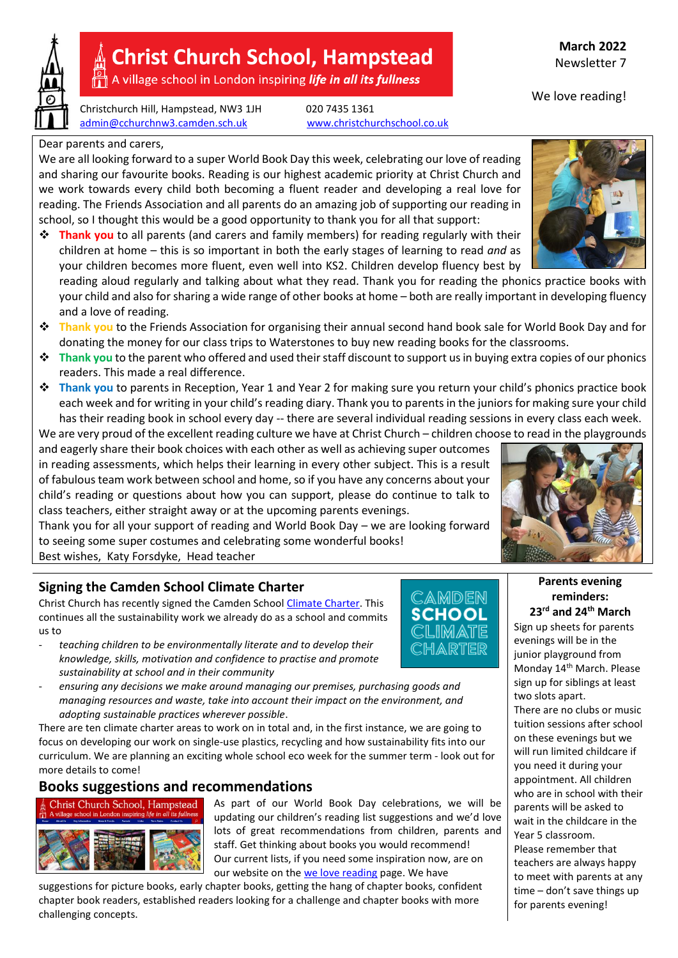

# **Christ Church School, Hampstead**

A village school in London inspiring life in all its fullness

Christchurch Hill, Hampstead, NW3 1JH 020 7435 1361 [admin@cchurchnw3.camden.sch.uk](mailto:admin@cchurchnw3.camden.sch.uk) [www.christchurchschool.co.uk](http://www.christchurchschool.co.uk/)

We are all looking forward to a super World Book Day this week, celebrating our love of reading and sharing our favourite books. Reading is our highest academic priority at Christ Church and we work towards every child both becoming a fluent reader and developing a real love for reading. The Friends Association and all parents do an amazing job of supporting our reading in school, so I thought this would be a good opportunity to thank you for all that support:

**Thank you** to all parents (and carers and family members) for reading regularly with their children at home – this is so important in both the early stages of learning to read *and* as your children becomes more fluent, even well into KS2. Children develop fluency best by

reading aloud regularly and talking about what they read. Thank you for reading the phonics practice books with your child and also for sharing a wide range of other books at home – both are really important in developing fluency and a love of reading.

- **Thank you** to the Friends Association for organising their annual second hand book sale for World Book Day and for donating the money for our class trips to Waterstones to buy new reading books for the classrooms.
- **Thank you** to the parent who offered and used their staff discount to support us in buying extra copies of our phonics readers. This made a real difference.
- **Thank you** to parents in Reception, Year 1 and Year 2 for making sure you return your child's phonics practice book each week and for writing in your child's reading diary. Thank you to parents in the juniors for making sure your child has their reading book in school every day -- there are several individual reading sessions in every class each week.

We are very proud of the excellent reading culture we have at Christ Church – children choose to read in the playgrounds and eagerly share their book choices with each other as well as achieving super outcomes in reading assessments, which helps their learning in every other subject. This is a result of fabulous team work between school and home, so if you have any concerns about your child's reading or questions about how you can support, please do continue to talk to class teachers, either straight away or at the upcoming parents evenings.

Thank you for all your support of reading and World Book Day – we are looking forward to seeing some super costumes and celebrating some wonderful books! Best wishes, Katy Forsdyke, Head teacher

## **Signing the Camden School Climate Charter**

Christ Church has recently signed the Camden School [Climate Charter.](https://www.camdencca.org/school-climate-charter/) This continues all the sustainability work we already do as a school and commits us to

- *teaching children to be environmentally literate and to develop their knowledge, skills, motivation and confidence to practise and promote sustainability at school and in their community*



**reminders: 23rd and 24th March** Sign up sheets for parents

**Parents evening** 

evenings will be in the junior playground from Monday 14<sup>th</sup> March. Please sign up for siblings at least two slots apart. There are no clubs or music tuition sessions after school on these evenings but we will run limited childcare if you need it during your appointment. All children who are in school with their parents will be asked to wait in the childcare in the Year 5 classroom. Please remember that teachers are always happy to meet with parents at any time – don't save things up for parents evening!

*managing resources and waste, take into account their impact on the environment, and adopting sustainable practices wherever possible*. There are ten climate charter areas to work on in total and, in the first instance, we are going to

focus on developing our work on single-use plastics, recycling and how sustainability fits into our curriculum. We are planning an exciting whole school eco week for the summer term - look out for more details to come!

- *ensuring any decisions we make around managing our premises, purchasing goods and* 

## **Books suggestions and recommendations**



As part of our World Book Day celebrations, we will be updating our children's reading list suggestions and we'd love lots of great recommendations from children, parents and staff. Get thinking about books you would recommend! Our current lists, if you need some inspiration now, are on our website on the [we love reading](https://christchurchschool.co.uk/we-love-reading/) page. We have

suggestions for picture books, early chapter books, getting the hang of chapter books, confident chapter book readers, established readers looking for a challenge and chapter books with more challenging concepts.



**March 2022** Newsletter 7

We love reading!